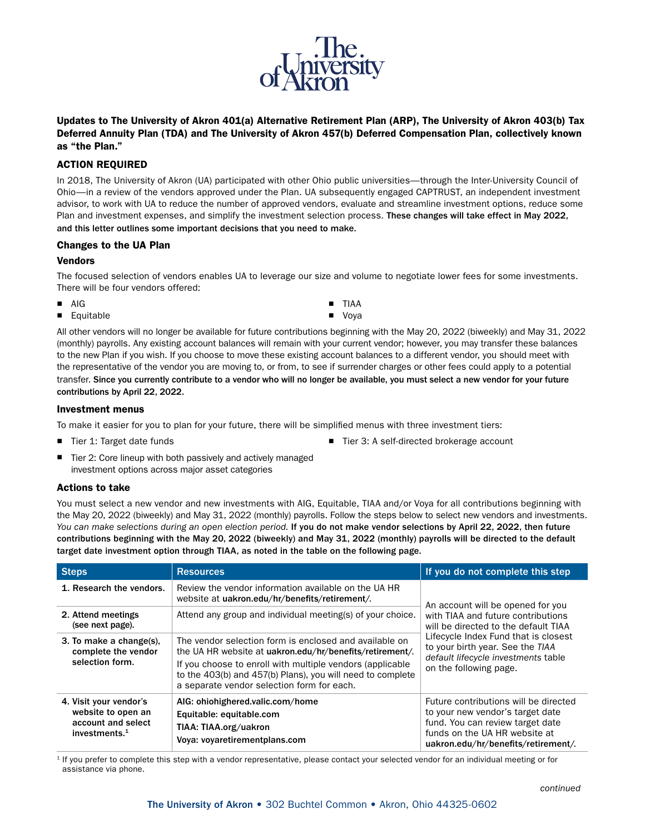

Updates to The University of Akron 401(a) Alternative Retirement Plan (ARP), The University of Akron 403(b) Tax Deferred Annuity Plan (TDA) and The University of Akron 457(b) Deferred Compensation Plan, collectively known as "the Plan."

# ACTION REQUIRED

In 2018, The University of Akron (UA) participated with other Ohio public universities—through the Inter-University Council of Ohio—in a review of the vendors approved under the Plan. UA subsequently engaged CAPTRUST, an independent investment advisor, to work with UA to reduce the number of approved vendors, evaluate and streamline investment options, reduce some Plan and investment expenses, and simplify the investment selection process. These changes will take effect in May 2022, and this letter outlines some important decisions that you need to make.

### Changes to the UA Plan

### Vendors

The focused selection of vendors enables UA to leverage our size and volume to negotiate lower fees for some investments. There will be four vendors offered:

> **TIAA** ■ Voya

- AIG
- Equitable

All other vendors will no longer be available for future contributions beginning with the May 20, 2022 (biweekly) and May 31, 2022 (monthly) payrolls. Any existing account balances will remain with your current vendor; however, you may transfer these balances to the new Plan if you wish. If you choose to move these existing account balances to a different vendor, you should meet with the representative of the vendor you are moving to, or from, to see if surrender charges or other fees could apply to a potential transfer. Since you currently contribute to a vendor who will no longer be available, you must select a new vendor for your future contributions by April 22, 2022.

### Investment menus

To make it easier for you to plan for your future, there will be simplified menus with three investment tiers:

 $\blacksquare$  Tier 1: Target date funds

- Tier 3: A self-directed brokerage account
- Tier 2: Core lineup with both passively and actively managed investment options across major asset categories

### Actions to take

You must select a new vendor and new investments with AIG, Equitable, TIAA and/or Voya for all contributions beginning with the May 20, 2022 (biweekly) and May 31, 2022 (monthly) payrolls. Follow the steps below to select new vendors and investments. You can make selections during an open election period. If you do not make vendor selections by April 22, 2022, then future contributions beginning with the May 20, 2022 (biweekly) and May 31, 2022 (monthly) payrolls will be directed to the default target date investment option through TIAA, as noted in the table on the following page.

| <b>Steps</b>                                                                           | <b>Resources</b>                                                                                                                                                                                                                                                                            | If you do not complete this step                                                                                                                                                                                        |  |
|----------------------------------------------------------------------------------------|---------------------------------------------------------------------------------------------------------------------------------------------------------------------------------------------------------------------------------------------------------------------------------------------|-------------------------------------------------------------------------------------------------------------------------------------------------------------------------------------------------------------------------|--|
| 1. Research the vendors.                                                               | Review the vendor information available on the UA HR<br>website at uakron.edu/hr/benefits/retirement/.                                                                                                                                                                                      | An account will be opened for you                                                                                                                                                                                       |  |
| 2. Attend meetings<br>(see next page).                                                 | Attend any group and individual meeting(s) of your choice.                                                                                                                                                                                                                                  | with TIAA and future contributions<br>will be directed to the default TIAA<br>Lifecycle Index Fund that is closest<br>to your birth year. See the TIAA<br>default lifecycle investments table<br>on the following page. |  |
| 3. To make a change(s),<br>complete the vendor<br>selection form.                      | The vendor selection form is enclosed and available on<br>the UA HR website at uakron.edu/hr/benefits/retirement/.<br>If you choose to enroll with multiple vendors (applicable<br>to the 403(b) and 457(b) Plans), you will need to complete<br>a separate vendor selection form for each. |                                                                                                                                                                                                                         |  |
| 4. Visit your vendor's<br>website to open an<br>account and select<br>investments. $1$ | AIG: ohiohighered.valic.com/home<br>Equitable: equitable.com<br>TIAA: TIAA.org/uakron<br>Voya: voyaretirementplans.com                                                                                                                                                                      | Future contributions will be directed<br>to your new vendor's target date<br>fund. You can review target date<br>funds on the UA HR website at<br>uakron.edu/hr/benefits/retirement/.                                   |  |

<sup>1</sup> If you prefer to complete this step with a vendor representative, please contact your selected vendor for an individual meeting or for assistance via phone.